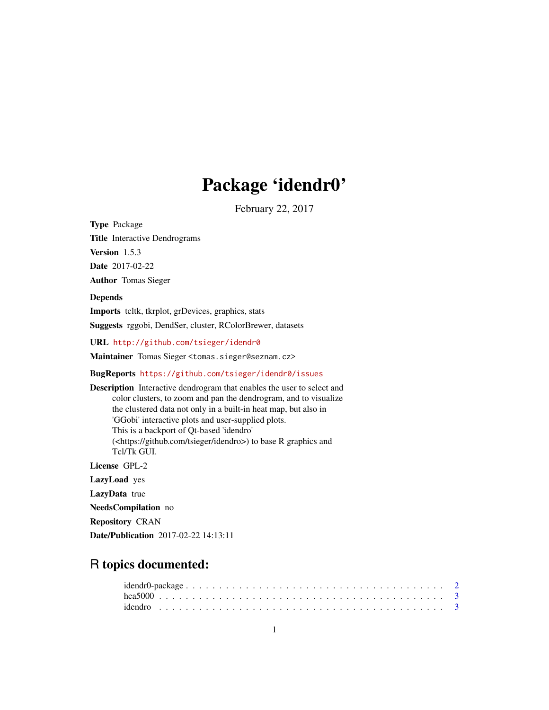## Package 'idendr0'

February 22, 2017

Type Package Title Interactive Dendrograms Version 1.5.3 Date 2017-02-22 Author Tomas Sieger

#### Depends

Imports tcltk, tkrplot, grDevices, graphics, stats Suggests rggobi, DendSer, cluster, RColorBrewer, datasets

URL <http://github.com/tsieger/idendr0>

Maintainer Tomas Sieger <tomas.sieger@seznam.cz>

#### BugReports <https://github.com/tsieger/idendr0/issues>

Description Interactive dendrogram that enables the user to select and color clusters, to zoom and pan the dendrogram, and to visualize the clustered data not only in a built-in heat map, but also in 'GGobi' interactive plots and user-supplied plots. This is a backport of Qt-based 'idendro' (<https://github.com/tsieger/idendro>) to base R graphics and Tcl/Tk GUI. License GPL-2 LazyLoad yes LazyData true NeedsCompilation no

Repository CRAN

Date/Publication 2017-02-22 14:13:11

### R topics documented: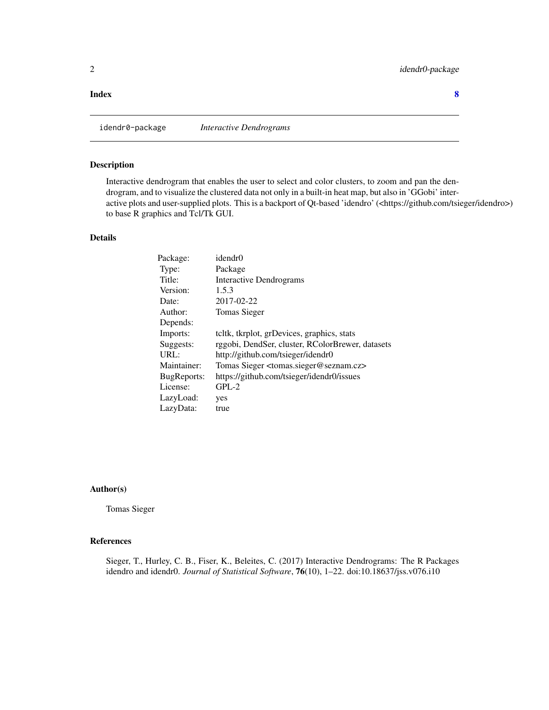#### <span id="page-1-0"></span>**Index** [8](#page-7-0) **8**

idendr0-package *Interactive Dendrograms*

#### Description

Interactive dendrogram that enables the user to select and color clusters, to zoom and pan the dendrogram, and to visualize the clustered data not only in a built-in heat map, but also in 'GGobi' interactive plots and user-supplied plots. This is a backport of Qt-based 'idendro' (<https://github.com/tsieger/idendro>) to base R graphics and Tcl/Tk GUI.

#### Details

| Package:    | idendr0                                                        |
|-------------|----------------------------------------------------------------|
| Type:       | Package                                                        |
| Title:      | Interactive Dendrograms                                        |
| Version:    | 1.5.3                                                          |
| Date:       | 2017-02-22                                                     |
| Author:     | <b>Tomas Sieger</b>                                            |
| Depends:    |                                                                |
| Imports:    | teltk, tkrplot, grDevices, graphics, stats                     |
| Suggests:   | rggobi, DendSer, cluster, RColorBrewer, datasets               |
| URL:        | http://github.com/tsieger/idendr0                              |
| Maintainer: | Tomas Sieger <tomas.sieger@seznam.cz></tomas.sieger@seznam.cz> |
| BugReports: | https://github.com/tsieger/idendr0/issues                      |
| License:    | $GPL-2$                                                        |
| LazyLoad:   | yes                                                            |
| LazyData:   | true                                                           |

#### Author(s)

Tomas Sieger

#### References

Sieger, T., Hurley, C. B., Fiser, K., Beleites, C. (2017) Interactive Dendrograms: The R Packages idendro and idendr0. *Journal of Statistical Software*, 76(10), 1–22. doi:10.18637/jss.v076.i10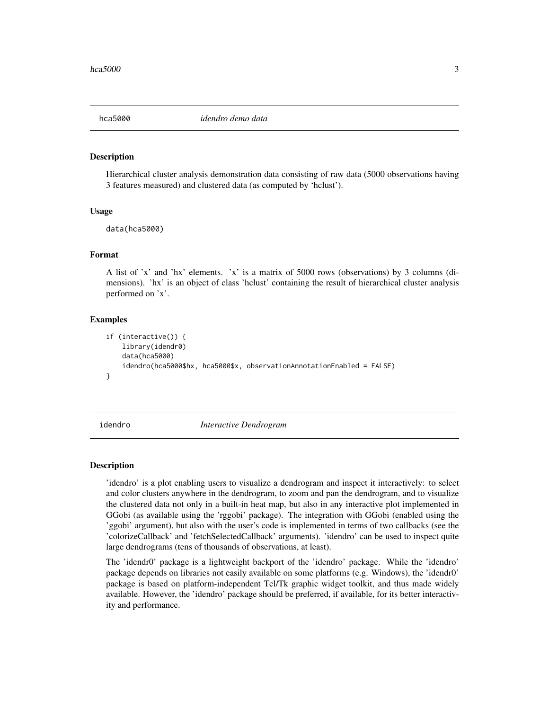<span id="page-2-0"></span>

#### Description

Hierarchical cluster analysis demonstration data consisting of raw data (5000 observations having 3 features measured) and clustered data (as computed by 'hclust').

#### Usage

data(hca5000)

#### Format

A list of 'x' and 'hx' elements. 'x' is a matrix of 5000 rows (observations) by 3 columns (dimensions). 'hx' is an object of class 'hclust' containing the result of hierarchical cluster analysis performed on 'x'.

#### Examples

```
if (interactive()) {
    library(idendr0)
    data(hca5000)
    idendro(hca5000$hx, hca5000$x, observationAnnotationEnabled = FALSE)
}
```
idendro *Interactive Dendrogram*

#### Description

'idendro' is a plot enabling users to visualize a dendrogram and inspect it interactively: to select and color clusters anywhere in the dendrogram, to zoom and pan the dendrogram, and to visualize the clustered data not only in a built-in heat map, but also in any interactive plot implemented in GGobi (as available using the 'rggobi' package). The integration with GGobi (enabled using the 'ggobi' argument), but also with the user's code is implemented in terms of two callbacks (see the 'colorizeCallback' and 'fetchSelectedCallback' arguments). 'idendro' can be used to inspect quite large dendrograms (tens of thousands of observations, at least).

The 'idendr0' package is a lightweight backport of the 'idendro' package. While the 'idendro' package depends on libraries not easily available on some platforms (e.g. Windows), the 'idendr0' package is based on platform-independent Tcl/Tk graphic widget toolkit, and thus made widely available. However, the 'idendro' package should be preferred, if available, for its better interactivity and performance.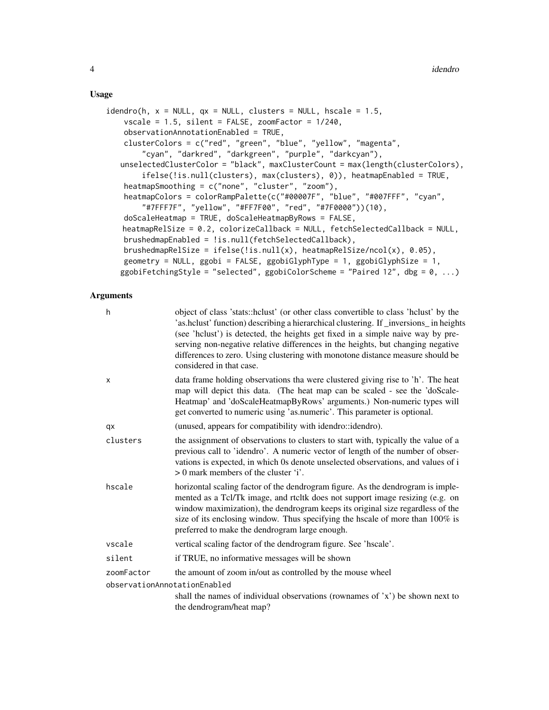#### Usage

```
idendro(h, x = NULL, qx = NULL, clusters = NULL, hex = 1.5,vscale = 1.5, silent = FALSE, zoomFactor = 1/240,
   observationAnnotationEnabled = TRUE,
   clusterColors = c("red", "green", "blue", "yellow", "magenta",
        "cyan", "darkred", "darkgreen", "purple", "darkcyan"),
   unselectedClusterColor = "black", maxClusterCount = max(length(clusterColors),
        ifelse(!is.null(clusters), max(clusters), 0)), heatmapEnabled = TRUE,
   heatmapSmoothing = c("none", "cluster", "zoom"),
   heatmapColors = colorRampPalette(c("#00007F", "blue", "#007FFF", "cyan",
        "#7FFF7F", "yellow", "#FF7F00", "red", "#7F0000"))(10),
   doScaleHeatmap = TRUE, doScaleHeatmapByRows = FALSE,
   heatmapRelSize = 0.2, colorizeCallback = NULL, fetchSelectedCallback = NULL,
   brushedmapEnabled = !is.null(fetchSelectedCallback),
   brushedmapRelSize = ifelse(!is.null(x), heatmapRelSize/ncol(x), 0.05),
   geometry = NULL, ggobi = FALSE, ggobiGlyphType = 1, ggobiGlyphSize = 1,
   ggobiFetchingStyle = "selected", ggobiColorScheme = "Paired 12", dbg = 0, \ldots)
```
#### Arguments

| h                            | object of class 'stats::hclust' (or other class convertible to class 'hclust' by the<br>'as.hclust' function) describing a hierarchical clustering. If _inversions_ in heights<br>(see 'hclust') is detected, the heights get fixed in a simple naive way by pre-<br>serving non-negative relative differences in the heights, but changing negative<br>differences to zero. Using clustering with monotone distance measure should be<br>considered in that case. |
|------------------------------|--------------------------------------------------------------------------------------------------------------------------------------------------------------------------------------------------------------------------------------------------------------------------------------------------------------------------------------------------------------------------------------------------------------------------------------------------------------------|
| x                            | data frame holding observations tha were clustered giving rise to 'h'. The heat<br>map will depict this data. (The heat map can be scaled - see the 'doScale-<br>Heatmap' and 'doScaleHeatmapByRows' arguments.) Non-numeric types will<br>get converted to numeric using 'as.numeric'. This parameter is optional.                                                                                                                                                |
| qx                           | (unused, appears for compatibility with idendro::idendro).                                                                                                                                                                                                                                                                                                                                                                                                         |
| clusters                     | the assignment of observations to clusters to start with, typically the value of a<br>previous call to 'idendro'. A numeric vector of length of the number of obser-<br>vations is expected, in which 0s denote unselected observations, and values of i<br>$> 0$ mark members of the cluster 'i'.                                                                                                                                                                 |
| hscale                       | horizontal scaling factor of the dendrogram figure. As the dendrogram is imple-<br>mented as a Tcl/Tk image, and rtcltk does not support image resizing (e.g. on<br>window maximization), the dendrogram keeps its original size regardless of the<br>size of its enclosing window. Thus specifying the hscale of more than 100% is<br>preferred to make the dendrogram large enough.                                                                              |
| vscale                       | vertical scaling factor of the dendrogram figure. See 'hscale'.                                                                                                                                                                                                                                                                                                                                                                                                    |
| silent                       | if TRUE, no informative messages will be shown                                                                                                                                                                                                                                                                                                                                                                                                                     |
| zoomFactor                   | the amount of zoom in/out as controlled by the mouse wheel                                                                                                                                                                                                                                                                                                                                                                                                         |
| observationAnnotationEnabled |                                                                                                                                                                                                                                                                                                                                                                                                                                                                    |
|                              | shall the names of individual observations (rownames of $x'$ ) be shown next to<br>the dendrogram/heat map?                                                                                                                                                                                                                                                                                                                                                        |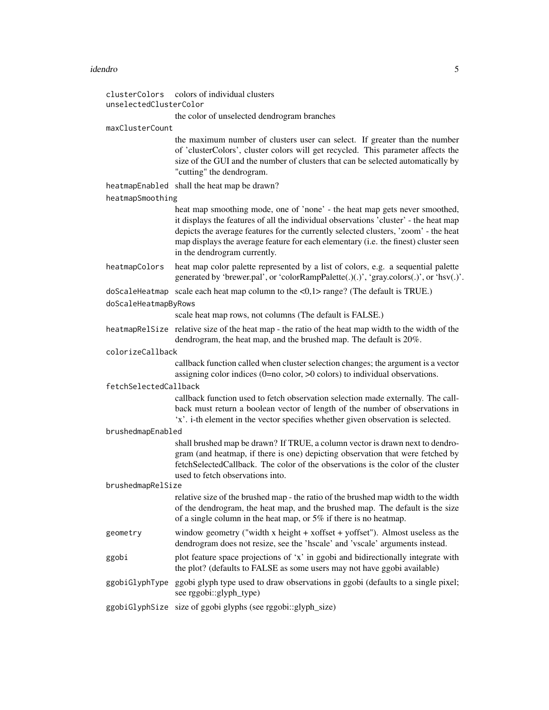#### idendro 5

| clusterColors<br>unselectedClusterColor | colors of individual clusters                                                                                                                                                                                                                                                                                                                                                    |
|-----------------------------------------|----------------------------------------------------------------------------------------------------------------------------------------------------------------------------------------------------------------------------------------------------------------------------------------------------------------------------------------------------------------------------------|
|                                         | the color of unselected dendrogram branches                                                                                                                                                                                                                                                                                                                                      |
| maxClusterCount                         |                                                                                                                                                                                                                                                                                                                                                                                  |
|                                         | the maximum number of clusters user can select. If greater than the number<br>of 'clusterColors', cluster colors will get recycled. This parameter affects the<br>size of the GUI and the number of clusters that can be selected automatically by<br>"cutting" the dendrogram.                                                                                                  |
|                                         | heatmapEnabled shall the heat map be drawn?                                                                                                                                                                                                                                                                                                                                      |
| heatmapSmoothing                        |                                                                                                                                                                                                                                                                                                                                                                                  |
|                                         | heat map smoothing mode, one of 'none' - the heat map gets never smoothed,<br>it displays the features of all the individual observations 'cluster' - the heat map<br>depicts the average features for the currently selected clusters, 'zoom' - the heat<br>map displays the average feature for each elementary (i.e. the finest) cluster seen<br>in the dendrogram currently. |
| heatmapColors                           | heat map color palette represented by a list of colors, e.g. a sequential palette<br>generated by 'brewer.pal', or 'colorRampPalette(.)(.)', 'gray.colors(.)', or 'hsv(.)'.                                                                                                                                                                                                      |
| doScaleHeatmapByRows                    | doScaleHeatmap scale each heat map column to the $<0,1>$ range? (The default is TRUE.)                                                                                                                                                                                                                                                                                           |
|                                         | scale heat map rows, not columns (The default is FALSE.)                                                                                                                                                                                                                                                                                                                         |
|                                         | heatmapRelSize relative size of the heat map - the ratio of the heat map width to the width of the<br>dendrogram, the heat map, and the brushed map. The default is 20%.                                                                                                                                                                                                         |
| colorizeCallback                        |                                                                                                                                                                                                                                                                                                                                                                                  |
|                                         | callback function called when cluster selection changes; the argument is a vector<br>assigning color indices $(0=no$ color, $>0$ colors) to individual observations.                                                                                                                                                                                                             |
| fetchSelectedCallback                   | callback function used to fetch observation selection made externally. The call-<br>back must return a boolean vector of length of the number of observations in<br>'x'. i-th element in the vector specifies whether given observation is selected.                                                                                                                             |
| brushedmapEnabled                       |                                                                                                                                                                                                                                                                                                                                                                                  |
|                                         | shall brushed map be drawn? If TRUE, a column vector is drawn next to dendro-<br>gram (and heatmap, if there is one) depicting observation that were fetched by<br>fetchSelectedCallback. The color of the observations is the color of the cluster<br>used to fetch observations into.                                                                                          |
| brushedmapRelSize                       | relative size of the brushed map - the ratio of the brushed map width to the width                                                                                                                                                                                                                                                                                               |
|                                         | of the dendrogram, the heat map, and the brushed map. The default is the size<br>of a single column in the heat map, or $5\%$ if there is no heatmap.                                                                                                                                                                                                                            |
| geometry                                | window geometry ("width x height + xoffset + yoffset"). Almost useless as the<br>dendrogram does not resize, see the 'hscale' and 'vscale' arguments instead.                                                                                                                                                                                                                    |
| ggobi                                   | plot feature space projections of 'x' in ggobi and bidirectionally integrate with<br>the plot? (defaults to FALSE as some users may not have ggobi available)                                                                                                                                                                                                                    |
| ggobiGlyphType                          | ggobi glyph type used to draw observations in ggobi (defaults to a single pixel;<br>see rggobi::glyph_type)                                                                                                                                                                                                                                                                      |
|                                         | ggobiGlyphSize size of ggobi glyphs (see rggobi::glyph_size)                                                                                                                                                                                                                                                                                                                     |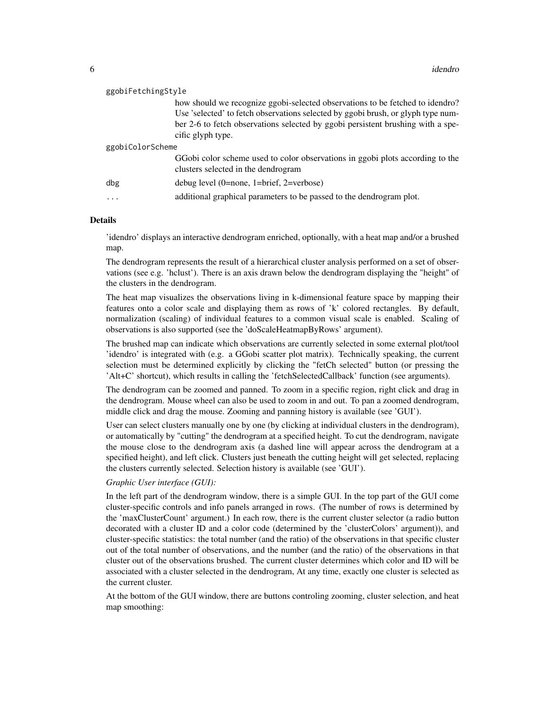| ggobiFetchingStyle |                                                                                                                                                                   |  |
|--------------------|-------------------------------------------------------------------------------------------------------------------------------------------------------------------|--|
|                    | how should we recognize ggobi-selected observations to be fetched to idendro?<br>Use 'selected' to fetch observations selected by ggobi brush, or glyph type num- |  |
|                    | ber 2-6 to fetch observations selected by ggobi persistent brushing with a spe-<br>cific glyph type.                                                              |  |
| ggobiColorScheme   |                                                                                                                                                                   |  |
|                    | GGobi color scheme used to color observations in ggobi plots according to the<br>clusters selected in the dendrogram                                              |  |
| dbg                | debug level $(0=none, 1=brief, 2=verbose)$                                                                                                                        |  |
| $\cdots$           | additional graphical parameters to be passed to the dendrogram plot.                                                                                              |  |

#### Details

'idendro' displays an interactive dendrogram enriched, optionally, with a heat map and/or a brushed map.

The dendrogram represents the result of a hierarchical cluster analysis performed on a set of observations (see e.g. 'hclust'). There is an axis drawn below the dendrogram displaying the "height" of the clusters in the dendrogram.

The heat map visualizes the observations living in k-dimensional feature space by mapping their features onto a color scale and displaying them as rows of 'k' colored rectangles. By default, normalization (scaling) of individual features to a common visual scale is enabled. Scaling of observations is also supported (see the 'doScaleHeatmapByRows' argument).

The brushed map can indicate which observations are currently selected in some external plot/tool 'idendro' is integrated with (e.g. a GGobi scatter plot matrix). Technically speaking, the current selection must be determined explicitly by clicking the "fetCh selected" button (or pressing the 'Alt+C' shortcut), which results in calling the 'fetchSelectedCallback' function (see arguments).

The dendrogram can be zoomed and panned. To zoom in a specific region, right click and drag in the dendrogram. Mouse wheel can also be used to zoom in and out. To pan a zoomed dendrogram, middle click and drag the mouse. Zooming and panning history is available (see 'GUI').

User can select clusters manually one by one (by clicking at individual clusters in the dendrogram), or automatically by "cutting" the dendrogram at a specified height. To cut the dendrogram, navigate the mouse close to the dendrogram axis (a dashed line will appear across the dendrogram at a specified height), and left click. Clusters just beneath the cutting height will get selected, replacing the clusters currently selected. Selection history is available (see 'GUI').

#### *Graphic User interface (GUI):*

In the left part of the dendrogram window, there is a simple GUI. In the top part of the GUI come cluster-specific controls and info panels arranged in rows. (The number of rows is determined by the 'maxClusterCount' argument.) In each row, there is the current cluster selector (a radio button decorated with a cluster ID and a color code (determined by the 'clusterColors' argument)), and cluster-specific statistics: the total number (and the ratio) of the observations in that specific cluster out of the total number of observations, and the number (and the ratio) of the observations in that cluster out of the observations brushed. The current cluster determines which color and ID will be associated with a cluster selected in the dendrogram, At any time, exactly one cluster is selected as the current cluster.

At the bottom of the GUI window, there are buttons controling zooming, cluster selection, and heat map smoothing: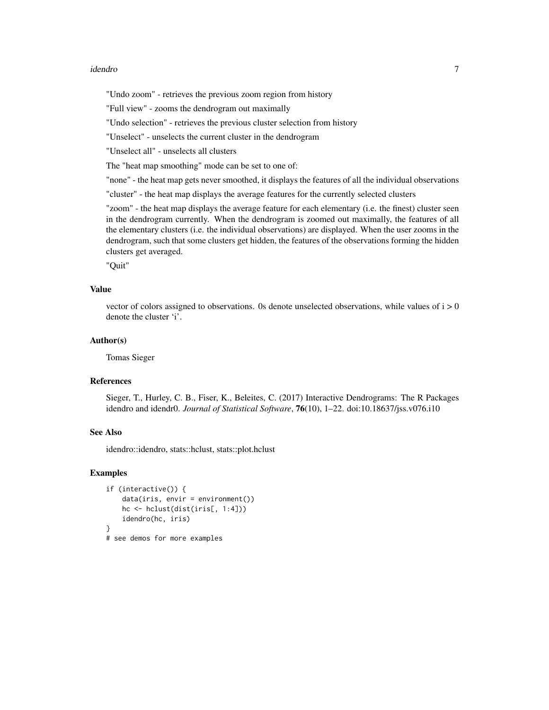#### idendro 7

"Undo zoom" - retrieves the previous zoom region from history

"Full view" - zooms the dendrogram out maximally

"Undo selection" - retrieves the previous cluster selection from history

"Unselect" - unselects the current cluster in the dendrogram

"Unselect all" - unselects all clusters

The "heat map smoothing" mode can be set to one of:

"none" - the heat map gets never smoothed, it displays the features of all the individual observations

"cluster" - the heat map displays the average features for the currently selected clusters

"zoom" - the heat map displays the average feature for each elementary (i.e. the finest) cluster seen in the dendrogram currently. When the dendrogram is zoomed out maximally, the features of all the elementary clusters (i.e. the individual observations) are displayed. When the user zooms in the dendrogram, such that some clusters get hidden, the features of the observations forming the hidden clusters get averaged.

"Quit"

#### Value

vector of colors assigned to observations. 0s denote unselected observations, while values of  $i > 0$ denote the cluster 'i'.

#### Author(s)

Tomas Sieger

#### References

Sieger, T., Hurley, C. B., Fiser, K., Beleites, C. (2017) Interactive Dendrograms: The R Packages idendro and idendr0. *Journal of Statistical Software*, 76(10), 1–22. doi:10.18637/jss.v076.i10

#### See Also

idendro::idendro, stats::hclust, stats::plot.hclust

#### Examples

```
if (interactive()) {
   data(iris, envir = environment())
   hc <- hclust(dist(iris[, 1:4]))
   idendro(hc, iris)
}
# see demos for more examples
```